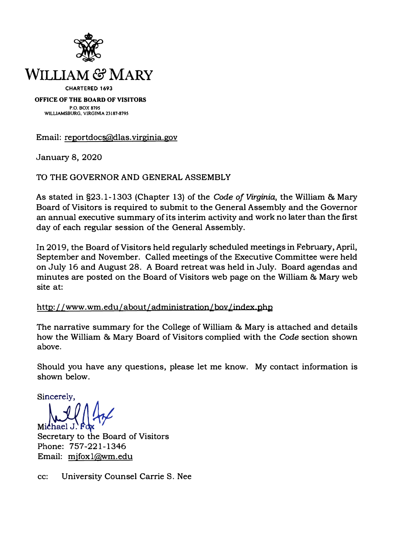

**P.O. BOX 879S WILLIAMSBURG, VIRGINIA 23187-8795** 

**Email: r[eportdocs@dlas](mailto:reportdocs@dlas.virginia.gov). [virginia](mailto:reportdocs@dlas.virginia.gov). [gov](mailto:reportdocs@dlas.virginia.gov)** 

**January 8, 2020** 

**TO THE GOVERNOR AND GENERAL ASSEMBLY** 

**As stated in §23.1-1303 (Chapter 13) of the** *Code of Virginia,* **the William & Mary Board of Visitors is required to submit to the General Assembly and the Governor an annual executive summary of its interim activity and work no later than the first day of each regular session of the General Assembly.** 

**In 2019, the Board of Visitors held regularly scheduled meetings in February, April, September and November. Called meetings of the Executive Committee were held on July 16 and August 28. A Board retreat was held in July. Board agendas and minutes are posted on the Board of Visitors web page on the William & Mary web site at:** 

**h[ttp:](http://www.wm.edu/about/administration/bov/index.php) [//www.wm.edu/about/administration/bov](http://www.wm.edu/about/administration/bov/index.php) [/index.php](http://www.wm.edu/about/administration/bov/index.php)** 

**The narrative summary for the College of William & Mary is attached and details how the William & Mary Board of Visitors complied with the** *Code* **section shown above.** 

**Should you have any questions, please let me know. My contact information is shown below.** 

Sincerely,<br>Michael J. Fox

**Secretary to the Board of Visitors Phone: 757-221-1346 Email: [mjfoxl@wm.edu](mailto:mjfox1@wm.edu)** 

**cc: University Counsel Carrie S. Nee**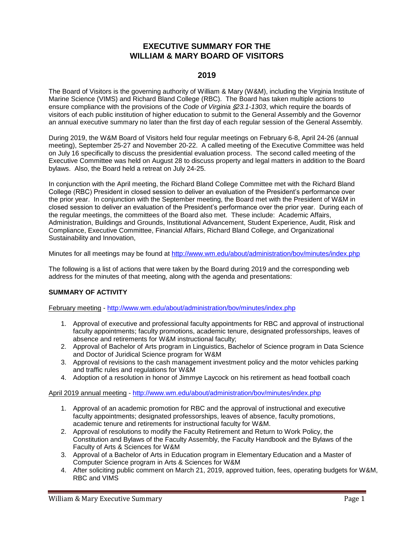## **EXECUTIVE SUMMARY FOR THE WILLIAM & MARY BOARD OF VISITORS**

## **2019**

The Board of Visitors is the governing authority of William & Mary (W&M), including the Virginia Institute of Marine Science (VIMS) and Richard Bland College (RBC). The Board has taken multiple actions to ensure compliance with the provisions of the *Code of Virginia* '*23.1-1303*, which require the boards of visitors of each public institution of higher education to submit to the General Assembly and the Governor an annual executive summary no later than the first day of each regular session of the General Assembly.

During 2019, the W&M Board of Visitors held four regular meetings on February 6-8, April 24-26 (annual meeting), September 25-27 and November 20-22. A called meeting of the Executive Committee was held on July 16 specifically to discuss the presidential evaluation process. The second called meeting of the Executive Committee was held on August 28 to discuss property and legal matters in addition to the Board bylaws. Also, the Board held a retreat on July 24-25.

In conjunction with the April meeting, the Richard Bland College Committee met with the Richard Bland College (RBC) President in closed session to deliver an evaluation of the President's performance over the prior year. In conjunction with the September meeting, the Board met with the President of W&M in closed session to deliver an evaluation of the President's performance over the prior year. During each of the regular meetings, the committees of the Board also met. These include: Academic Affairs, Administration, Buildings and Grounds, Institutional Advancement, Student Experience, Audit, Risk and Compliance, Executive Committee, Financial Affairs, Richard Bland College, and Organizational Sustainability and Innovation,

Minutes for all meetings may be found at<http://www.wm.edu/about/administration/bov/minutes/index.php>

The following is a list of actions that were taken by the Board during 2019 and the corresponding web address for the minutes of that meeting, along with the agenda and presentations:

## **SUMMARY OF ACTIVITY**

February meeting - <http://www.wm.edu/about/administration/bov/minutes/index.php>

- 1. Approval of executive and professional faculty appointments for RBC and approval of instructional faculty appointments; faculty promotions, academic tenure, designated professorships, leaves of absence and retirements for W&M instructional faculty;
- 2. Approval of Bachelor of Arts program in Linguistics, Bachelor of Science program in Data Science and Doctor of Juridical Science program for W&M
- 3. Approval of revisions to the cash management investment policy and the motor vehicles parking and traffic rules and regulations for W&M
- 4. Adoption of a resolution in honor of Jimmye Laycock on his retirement as head football coach

April 2019 annual meeting - <http://www.wm.edu/about/administration/bov/minutes/index.php>

- 1. Approval of an academic promotion for RBC and the approval of instructional and executive faculty appointments; designated professorships, leaves of absence, faculty promotions, academic tenure and retirements for instructional faculty for W&M.
- 2. Approval of resolutions to modify the Faculty Retirement and Return to Work Policy, the Constitution and Bylaws of the Faculty Assembly, the Faculty Handbook and the Bylaws of the Faculty of Arts & Sciences for W&M
- 3. Approval of a Bachelor of Arts in Education program in Elementary Education and a Master of Computer Science program in Arts & Sciences for W&M
- 4. After soliciting public comment on March 21, 2019, approved tuition, fees, operating budgets for W&M, RBC and VIMS